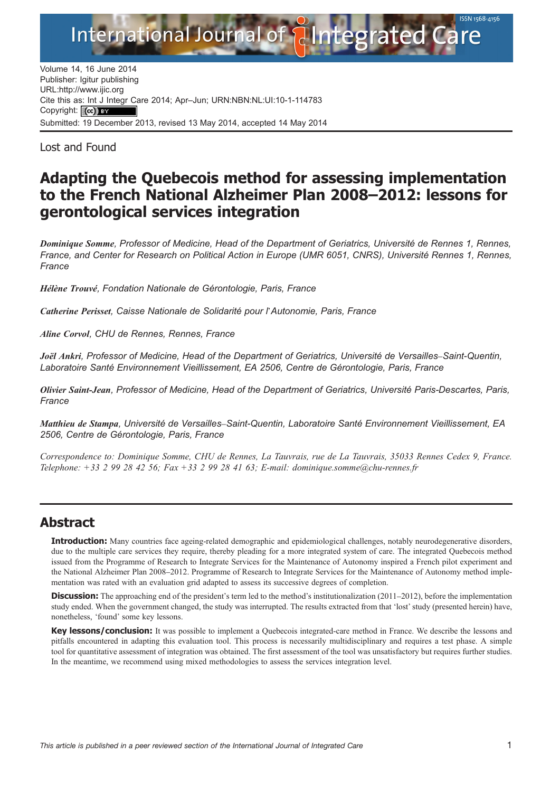Submitted: 19 December 2013, revised 13 May 2014, accepted 14 May 2014 Volume 14, 16 June 2014<br>Publisher: Igitur publishing Publisher: Igitur publishing URL:http://www.ijic.org Cite this as: Int J Integr Care 2014; Apr–Jun; URN:NBN:NL:UI:10-1-114783 Copyright: (cc) BY

Los[t](http://www.ijic.org) [and](http://www.ijic.org) [Found](http://www.ijic.org)

# Adapting the Quebecois method for assessing implementation to the French National Alzheimer Plan 2008–2012: lessons for gerontological services integration

Dominique Somme, Professor of Medicine, Head of the Department of Geriatrics, Université de Rennes 1, Rennes, France, and Center for Research on Political Action in Europe (UMR 6051, CNRS), Université Rennes 1, Rennes, **France** 

Hélène Trouvé, Fondation Nationale de Gérontologie, Paris, France

Catherine Perisset, Caisse Nationale de Solidarité pour l'Autonomie, Paris, France

Aline Corvol, CHU de Rennes, Rennes, France

Joël Ankri, Professor of Medicine, Head of the Department of Geriatrics, Université de Versailles–Saint-Quentin, Laboratoire Santé Environnement Vieillissement, EA 2506, Centre de Gérontologie, Paris, France

Olivier Saint-Jean, Professor of Medicine, Head of the Department of Geriatrics, Université Paris-Descartes, Paris, France

Matthieu de Stampa, Université de Versailles–Saint-Quentin, Laboratoire Santé Environnement Vieillissement, EA 2506, Centre de Gérontologie, Paris, France

Correspondence to: Dominique Somme, CHU de Rennes, La Tauvrais, rue de La Tauvrais, 35033 Rennes Cedex 9, France. Telephone: +33 2 99 28 42 56; Fax +33 2 99 28 41 63; E-mail: dominique.somme@chu-rennes.fr

## Abstract

**Introduction:** Many countries face ageing-related demographic and epidemiological challenges, notably neurodegenerative disorders, due to the multiple care services they require, thereby pleading for a more integrated system of care. The integrated Quebecois method issued from the Programme of Research to Integrate Services for the Maintenance of Autonomy inspired a French pilot experiment and the National Alzheimer Plan 2008–2012. Programme of Research to Integrate Services for the Maintenance of Autonomy method implementation was rated with an evaluation grid adapted to assess its successive degrees of completion.

**Discussion:** The approaching end of the president's term led to the method's institutionalization (2011–2012), before the implementation study ended. When the government changed, the study was interrupted. The results extracted from that 'lost'study (presented herein) have, nonetheless, 'found' some key lessons.

Key lessons/conclusion: It was possible to implement a Quebecois integrated-care method in France. We describe the lessons and pitfalls encountered in adapting this evaluation tool. This process is necessarily multidisciplinary and requires a test phase. A simple tool for quantitative assessment of integration was obtained. The first assessment of the tool was unsatisfactory but requires further studies. In the meantime, we recommend using mixed methodologies to assess the services integration level.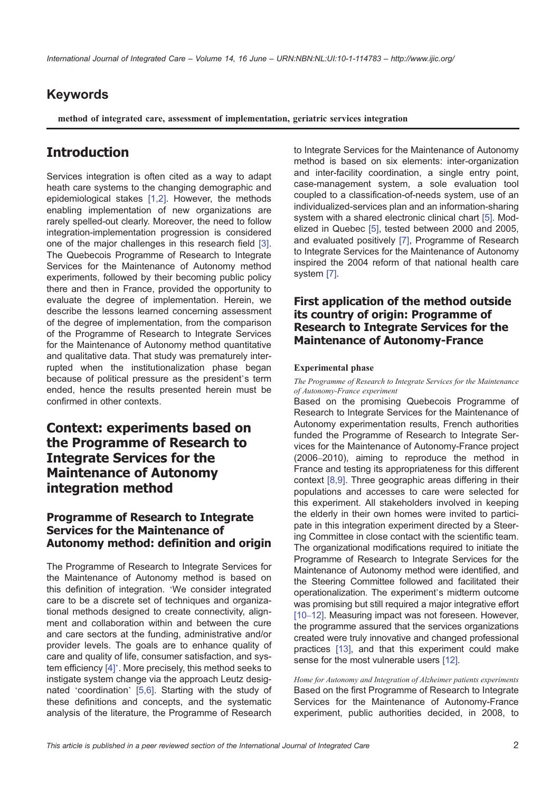# Keywords

method of integrated care, assessment of implementation, geriatric services integration

# **Introduction**

Services integration is often cited as a way to adapt heath care systems to the changing demographic and epidemiological stakes [1,2]. However, the methods enabling implementation of new organizations are rarely spelled-out clearly. Moreover, the need to follow integration-implementation progression is considered one of the major challe[nges](#page-6-0) in this research field [3]. The Quebecois Programme of Research to Integrate Services for the Maintenance of Autonomy method experiments, followed by their becoming public policy there and then in France, provided the opportunit[y to](#page-6-0) evaluate the degree of implementation. Herein, we describe the lessons learned concerning assessment of the degree of implementation, from the comparison of the Programme of Research to Integrate Services for the Maintenance of Autonomy method quantitative and qualitative data. That study was prematurely interrupted when the institutionalization phase began because of political pressure as the president's term ended, hence the results presented herein must be confirmed in other contexts.

# Context: experiments based on the Programme of Research to Integrate Services for the Maintenance of Autonomy integration method

#### Programme of Research to Integrate Services for the Maintenance of Autonomy method: definition and origin

The Programme of Research to Integrate Services for the Maintenance of Autonomy method is based on this definition of integration. 'We consider integrated care to be a discrete set of techniques and organizational methods designed to create connectivity, alignment and collaboration within and between the cure and care sectors at the funding, administrative and/or provider levels. The goals are to enhance quality of care and quality of life, consumer satisfaction, and system efficiency [4]'. More precisely, this method seeks to instigate system change via the approach Leutz designated 'coordination' [5,6]. Starting with the study of these definitions and concepts, and the systematic analysis of th[e lit](#page-7-0)erature, the Programme of Research

to Integrate Services for the Maintenance of Autonomy method is based on six elements: inter-organization and inter-facility coordination, a single entry point, case-management system, a sole evaluation tool coupled to a classification-of-needs system, use of an individualized-services plan and an information-sharing system with a shared electronic clinical chart [5]. Modelized in Quebec [5], tested between 2000 and 2005, and evaluated positively [7], Programme of Research to Integrate Services for the Maintenance of Autonomy inspired the 2004 reform of that national he[alth](#page-7-0) care system [7].

### First application of the method outside its co[un](#page-7-0)try of origin: Programme of Research to Integrate Services for the Maintenance of Autonomy-France

#### Experimental phase

The Programme of Research to Integrate Services for the Maintenance of Autonomy-France experiment

Based on the promising Quebecois Programme of Research to Integrate Services for the Maintenance of Autonomy experimentation results, French authorities funded the Programme of Research to Integrate Services for the Maintenance of Autonomy-France project (2006–2010), aiming to reproduce the method in France and testing its appropriateness for this different context [8,9]. Three geographic areas differing in their populations and accesses to care were selected for this experiment. All stakeholders involved in keeping the elderly in their own homes were invited to participate in [this in](#page-7-0)tegration experiment directed by a Steering Committee in close contact with the scientific team. The organizational modifications required to initiate the Programme of Research to Integrate Services for the Maintenance of Autonomy method were identified, and the Steering Committee followed and facilitated their operationalization. The experiment's midterm outcome was promising but still required a major integrative effort [10–12]. Measuring impact was not foreseen. However, the programme assured that the services organizations created were truly innovative and changed professional practices [13], and that this experiment could make [sense f](#page-7-0)or the most vulnerable users [12].

Home for Autonomy and Integration of Alzheimer patients experiments Based on the first Programme of Research to Integrate Services [for](#page-7-0) the Maintenance of Autonomy-France experiment, public authorities dec[ided](#page-7-0), in 2008, to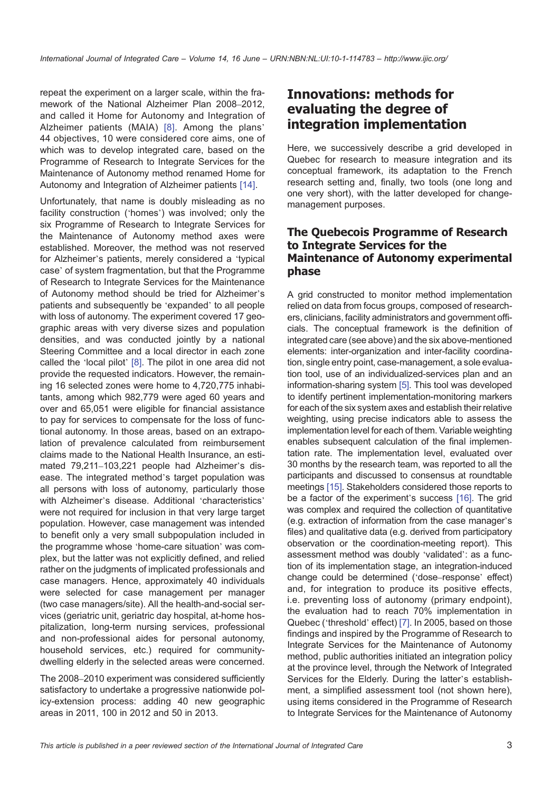repeat the experiment on a larger scale, within the framework of the National Alzheimer Plan 2008–2012, and called it Home for Autonomy and Integration of Alzheimer patients (MAIA) [8]. Among the plans' 44 objectives, 10 were considered core aims, one of which was to develop integrated care, based on the Programme of Research to Integrate Services for the Maintenance of Autonomy m[etho](#page-7-0)d renamed Home for Autonomy and Integration of Alzheimer patients [14].

Unfortunately, that name is doubly misleading as no facility construction ('homes') was involved; only the six Programme of Research to Integrate Services for the Maintenance of Autonomy method axes [we](#page-7-0)re established. Moreover, the method was not reserved for Alzheimer's patients, merely considered a 'typical case' of system fragmentation, but that the Programme of Research to Integrate Services for the Maintenance of Autonomy method should be tried for Alzheimer's patients and subsequently be 'expanded' to all people with loss of autonomy. The experiment covered 17 geographic areas with very diverse sizes and population densities, and was conducted jointly by a national Steering Committee and a local director in each zone called the 'local pilot'  $[8]$ . The pilot in one area did not provide the requested indicators. However, the remaining 16 selected zones were home to 4,720,775 inhabitants, among which 982,779 were aged 60 years and over and 65,051 wer[e el](#page-7-0)igible for financial assistance to pay for services to compensate for the loss of functional autonomy. In those areas, based on an extrapolation of prevalence calculated from reimbursement claims made to the National Health Insurance, an estimated 79,211–103,221 people had Alzheimer's disease. The integrated method's target population was all persons with loss of autonomy, particularly those with Alzheimer's disease. Additional 'characteristics' were not required for inclusion in that very large target population. However, case management was intended to benefit only a very small subpopulation included in the programme whose 'home-care situation' was complex, but the latter was not explicitly defined, and relied rather on the judgments of implicated professionals and case managers. Hence, approximately 40 individuals were selected for case management per manager (two case managers/site). All the health-and-social services (geriatric unit, geriatric day hospital, at-home hospitalization, long-term nursing services, professional and non-professional aides for personal autonomy, household services, etc.) required for communitydwelling elderly in the selected areas were concerned.

The 2008–2010 experiment was considered sufficiently satisfactory to undertake a progressive nationwide policy-extension process: adding 40 new geographic areas in 2011, 100 in 2012 and 50 in 2013.

# Innovations: methods for evaluating the [degree](http://www.ijic.org/) [of](http://www.ijic.org/) integration implementation

Here, we successively describe a grid developed in Quebec for research to measure integration and its conceptual framework, its adaptation to the French research setting and, finally, two tools (one long and one very short), with the latter developed for changemanagement purposes.

#### The Quebecois Programme of Research to Integrate Services for the Maintenance of Autonomy experimental phase

A grid constructed to monitor method implementation relied on data from focus groups, composed of researchers, clinicians, facility administrators and government officials. The conceptual framework is the definition of integrated care (see above) and the six above-mentioned elements: inter-organization and inter-facility coordination, single entry point, case-management, a sole evaluation tool, use of an individualized-services plan and an information-sharing system [5]. This tool was developed to identify pertinent implementation-monitoring markers for each of the six system axes and establish their relative weighting, using precise indicators able to assess the implementation level for eac[h o](#page-7-0)f them. Variable weighting enables subsequent calculation of the final implemen‐ tation rate. The implementation level, evaluated over 30 months by the research team, was reported to all the participants and discussed to consensus at roundtable meetings [15]. Stakeholders considered those reports to be a factor of the experiment's success [16]. The grid was complex and required the collection of quantitative (e.g. extraction of information from the case manager's files) and [qua](#page-7-0)litative data (e.g. derived from participatory observation or the coordination-meeting [rep](#page-7-0)ort). This assessment method was doubly 'validated': as a function of its implementation stage, an integration-induced change could be determined ('dose–response' effect) and, for integration to produce its positive effects, i.e. preventing loss of autonomy (primary endpoint), the evaluation had to reach 70% implementation in Quebec ('threshold' effect) [7]. In 2005, based on those findings and inspired by the Programme of Research to Integrate Services for the Maintenance of Autonomy method, public authorities initiated an integration policy at the province level, throu[gh t](#page-7-0)he Network of Integrated Services for the Elderly. During the latter's establishment, a simplified assessment tool (not shown here), using items considered in the Programme of Research to Integrate Services for the Maintenance of Autonomy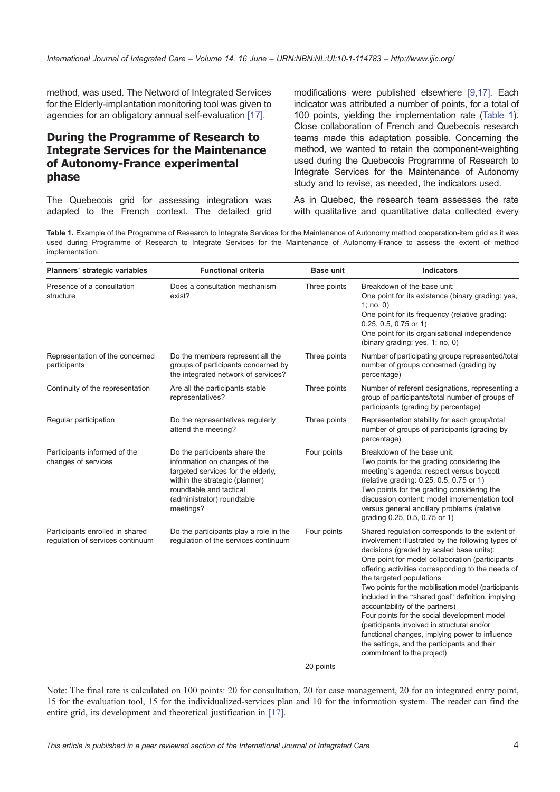method, was used. The Netword of Integrated Services for the Elderly-implantation monitoring tool was given to agencies for an obligatory annual self-evaluation [17].

#### During the Programme of Research to Integrate Services for the Maintenance of Autonomy-France experimental phase

The Quebecois grid for assessing integration was adapted to the French context. The detailed grid modifications were published elsewhere [9,17]. Each indicator was attributed [a number of poin](http://www.ijic.org/)ts, for a total of 100 points, yielding the implementation rate (Table 1). Close collaboration of French and Quebecois research teams made this adaptation possible. Co[ncerni](#page-7-0)ng the method, we wanted to retain the component-weighting used during the Quebecois Programme of Research to Integrate Services for the Maintenance of Autonomy study and to revise, as needed, the indicators used.

As in Quebec, the research team assesses the rate with qualitative and quantitative data collected every

Table 1. Example of the Programme of Research to Integrate Services for the Maintenance of Autonomy method cooperation-item grid as it was used during Programme of Research to Integrate Services for the Maintenance of Autonomy-France to assess the extent of method implementation.

| Planners' strategic variables                                       | <b>Functional criteria</b>                                                                                                                                                                                   | <b>Base unit</b> | <b>Indicators</b>                                                                                                                                                                                                                                                                                                                                                                                                                                                                                                                                                                                                                                                   |  |  |
|---------------------------------------------------------------------|--------------------------------------------------------------------------------------------------------------------------------------------------------------------------------------------------------------|------------------|---------------------------------------------------------------------------------------------------------------------------------------------------------------------------------------------------------------------------------------------------------------------------------------------------------------------------------------------------------------------------------------------------------------------------------------------------------------------------------------------------------------------------------------------------------------------------------------------------------------------------------------------------------------------|--|--|
| Presence of a consultation<br>structure                             | Does a consultation mechanism<br>exist?                                                                                                                                                                      | Three points     | Breakdown of the base unit:<br>One point for its existence (binary grading: yes,<br>1; $no, 0$ )<br>One point for its frequency (relative grading:<br>0.25, 0.5, 0.75 or 1)<br>One point for its organisational independence<br>(binary grading: yes, 1; no, 0)                                                                                                                                                                                                                                                                                                                                                                                                     |  |  |
| Representation of the concerned<br>participants                     | Do the members represent all the<br>groups of participants concerned by<br>the integrated network of services?                                                                                               | Three points     | Number of participating groups represented/total<br>number of groups concerned (grading by<br>percentage)                                                                                                                                                                                                                                                                                                                                                                                                                                                                                                                                                           |  |  |
| Continuity of the representation                                    | Are all the participants stable<br>representatives?                                                                                                                                                          | Three points     | Number of referent designations, representing a<br>group of participants/total number of groups of<br>participants (grading by percentage)                                                                                                                                                                                                                                                                                                                                                                                                                                                                                                                          |  |  |
| Regular participation                                               | Do the representatives regularly<br>attend the meeting?                                                                                                                                                      | Three points     | Representation stability for each group/total<br>number of groups of participants (grading by<br>percentage)                                                                                                                                                                                                                                                                                                                                                                                                                                                                                                                                                        |  |  |
| Participants informed of the<br>changes of services                 | Do the participants share the<br>information on changes of the<br>targeted services for the elderly,<br>within the strategic (planner)<br>roundtable and tactical<br>(administrator) roundtable<br>meetings? | Four points      | Breakdown of the base unit:<br>Two points for the grading considering the<br>meeting's agenda: respect versus boycott<br>(relative grading: 0.25, 0.5, 0.75 or 1)<br>Two points for the grading considering the<br>discussion content: model implementation tool<br>versus general ancillary problems (relative<br>grading 0.25, 0.5, 0.75 or 1)                                                                                                                                                                                                                                                                                                                    |  |  |
| Participants enrolled in shared<br>regulation of services continuum | Do the participants play a role in the<br>regulation of the services continuum                                                                                                                               | Four points      | Shared regulation corresponds to the extent of<br>involvement illustrated by the following types of<br>decisions (graded by scaled base units):<br>One point for model collaboration (participants<br>offering activities corresponding to the needs of<br>the targeted populations<br>Two points for the mobilisation model (participants<br>included in the "shared goal" definition, implying<br>accountability of the partners)<br>Four points for the social development model<br>(participants involved in structural and/or<br>functional changes, implying power to influence<br>the settings, and the participants and their<br>commitment to the project) |  |  |
|                                                                     |                                                                                                                                                                                                              | 20 points        |                                                                                                                                                                                                                                                                                                                                                                                                                                                                                                                                                                                                                                                                     |  |  |

Note: The final rate is calculated on 100 points: 20 for consultation, 20 for case management, 20 for an integrated entry point, 15 for the evaluation tool, 15 for the individualized-services plan and 10 for the information system. The reader can find the entire grid, its development and theoretical justification in [17].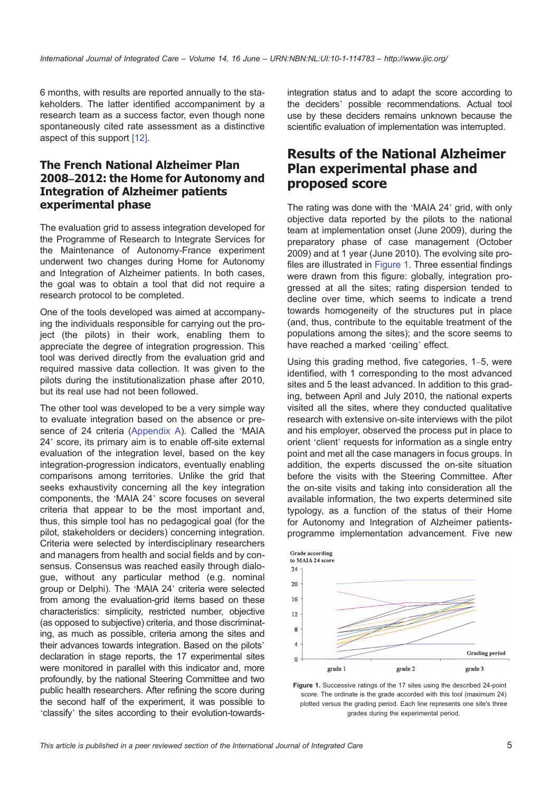6 months, with results are reported annually to the stakeholders. The latter identified accompaniment by a research team as a success factor, even though none spontaneously cited rate assessment as a distinctive aspect of this support [12].

### The French National Alzheimer Plan 2008–2012: the Home for Autonomy and Integration of A[lzhe](#page-7-0)imer patients experimental phase

The evaluation grid to assess integration developed for the Programme of Research to Integrate Services for the Maintenance of Autonomy-France experiment underwent two changes during Home for Autonomy and Integration of Alzheimer patients. In both cases, the goal was to obtain a tool that did not require a research protocol to be completed.

One of the tools developed was aimed at accompanying the individuals responsible for carrying out the project (the pilots) in their work, enabling them to appreciate the degree of integration progression. This tool was derived directly from the evaluation grid and required massive data collection. It was given to the pilots during the institutionalization phase after 2010, but its real use had not been followed.

The other tool was developed to be a very simple way to evaluate integration based on the absence or presence of 24 criteria (Appendix A). Called the 'MAIA 24' score, its primary aim is to enable off-site external evaluation of the integration level, based on the key integration-progression indicators, eventually enabling comparisons among [territories. U](#page-7-0)nlike the grid that seeks exhaustivity concerning all the key integration components, the 'MAIA 24' score focuses on several criteria that appear to be the most important and, thus, this simple tool has no pedagogical goal (for the pilot, stakeholders or deciders) concerning integration. Criteria were selected by interdisciplinary researchers and managers from health and social fields and by consensus. Consensus was reached easily through dialogue, without any particular method (e.g. nominal group or Delphi). The 'MAIA 24' criteria were selected from among the evaluation-grid items based on these characteristics: simplicity, restricted number, objective (as opposed to subjective) criteria, and those discriminating, as much as possible, criteria among the sites and their advances towards integration. Based on the pilots' declaration in stage reports, the 17 experimental sites were monitored in parallel with this indicator and, more profoundly, by the national Steering Committee and two public health researchers. After refining the score during the second half of the experiment, it was possible to 'classify' the sites according to their evolution-towardsintegration status and to adapt the score according to the deciders' possible [recommendatio](http://www.ijic.org/)ns. Actual tool use by these deciders remains unknown because the scientific evaluation of implementation was interrupted.

# Results of the National Alzheimer Plan experimental phase and proposed score

The rating was done with the 'MAIA 24' grid, with only objective data reported by the pilots to the national team at implementation onset (June 2009), during the preparatory phase of case management (October 2009) and at 1 year (June 2010). The evolving site profiles are illustrated in Figure 1. Three essential findings were drawn from this figure: globally, integration progressed at all the sites; rating dispersion tended to decline over time, which seems to indicate a trend towards homogeneity of the structures put in place (and, thus, contribute to the equitable treatment of the populations among the sites); and the score seems to have reached a marked 'ceiling' effect.

Using this grading method, five categories, 1–5, were identified, with 1 corresponding to the most advanced sites and 5 the least advanced. In addition to this grading, between April and July 2010, the national experts visited all the sites, where they conducted qualitative research with extensive on-site interviews with the pilot and his employer, observed the process put in place to orient 'client' requests for information as a single entry point and met all the case managers in focus groups. In addition, the experts discussed the on-site situation before the visits with the Steering Committee. After the on-site visits and taking into consideration all the available information, the two experts determined site typology, as a function of the status of their Home for Autonomy and Integration of Alzheimer patientsprogramme implementation advancement. Five new



Figure 1. Successive ratings of the 17 sites using the described 24-point score. The ordinate is the grade accorded with this tool (maximum 24) plotted versus the grading period. Each line represents one site's three grades during the experimental period.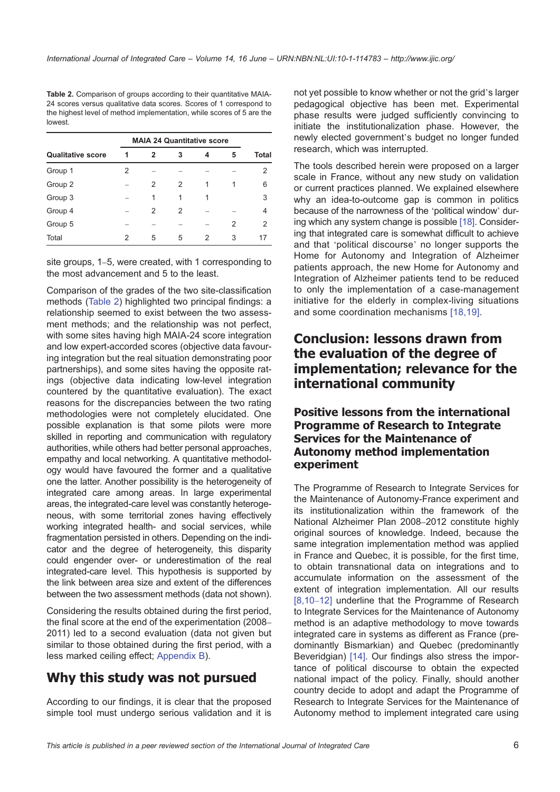Table 2. Comparison of groups according to their quantitative MAIA-24 scores versus qualitative data scores. Scores of 1 correspond to the highest level of method implementation, while scores of 5 are the lowest.

| <b>Qualitative score</b> | <b>MAIA 24 Quantitative score</b> |   |   |   |   |               |
|--------------------------|-----------------------------------|---|---|---|---|---------------|
|                          | 1                                 | 2 | 3 | 4 | 5 | Total         |
| Group 1                  | 2                                 |   |   |   |   | 2             |
| Group 2                  |                                   | 2 | 2 |   | 1 | 6             |
| Group 3                  |                                   | 1 | 1 | 1 |   | 3             |
| Group 4                  |                                   | 2 | 2 |   |   | 4             |
| Group 5                  |                                   |   |   |   | 2 | $\mathcal{P}$ |
| Total                    | 2                                 | 5 | 5 | 2 | 3 | 17            |

site groups, 1–5, were created, with 1 corresponding to the most advancement and 5 to the least.

Comparison of the grades of the two site-classification methods (Table 2) highlighted two principal findings: a relationship seemed to exist between the two assessment methods; and the relationship was not perfect, with some sites having high MAIA-24 score integration and low expert-accorded scores (objective data favouring integration but the real situation demonstrating poor partnerships), and some sites having the opposite ratings (objective data indicating low-level integration countered by the quantitative evaluation). The exact reasons for the discrepancies between the two rating methodologies were not completely elucidated. One possible explanation is that some pilots were more skilled in reporting and communication with regulatory authorities, while others had better personal approaches, empathy and local networking. A quantitative methodology would have favoured the former and a qualitative one the latter. Another possibility is the heterogeneity of integrated care among areas. In large experimental areas, the integrated-care level was constantly heterogeneous, with some territorial zones having effectively working integrated health- and social services, while fragmentation persisted in others. Depending on the indicator and the degree of heterogeneity, this disparity could engender over- or underestimation of the real integrated-care level. This hypothesis is supported by the link between area size and extent of the differences between the two assessment methods (data not shown).

Considering the results obtained during the first period, the final score at the end of the experimentation (2008– 2011) led to a second evaluation (data not given but similar to those obtained during the first period, with a less marked ceiling effect; Appendix B).

# Why this study was not pursued

According to our findings, [it is clear th](#page-8-0)at the proposed simple tool must undergo serious validation and it is not yet possible to know whether or not the grid's larger pedagogical objective [has been met](http://www.ijic.org/). Experimental phase results were judged sufficiently convincing to initiate the institutionalization phase. However, the newly elected government's budget no longer funded research, which was interrupted.

The tools described herein were proposed on a larger scale in France, without any new study on validation or current practices planned. We explained elsewhere why an idea-to-outcome gap is common in politics because of the narrowness of the 'political window' during which any system change is possible [18]. Considering that integrated care is somewhat difficult to achieve and that 'political discourse' no longer supports the Home for Autonomy and Integration of Alzheimer patients approach, the new Home for [Auto](#page-7-0)nomy and Integration of Alzheimer patients tend to be reduced to only the implementation of a case-management initiative for the elderly in complex-living situations and some coordination mechanisms [18,19].

# Conclusion: lessons drawn from the evaluation of the de[gree](#page-7-0) of implementation; relevance for the international community

#### Positive lessons from the international Programme of Research to Integrate Services for the Maintenance of Autonomy method implementation experiment

The Programme of Research to Integrate Services for the Maintenance of Autonomy-France experiment and its institutionalization within the framework of the National Alzheimer Plan 2008–2012 constitute highly original sources of knowledge. Indeed, because the same integration implementation method was applied in France and Quebec, it is possible, for the first time, to obtain transnational data on integrations and to accumulate information on the assessment of the extent of integration implementation. All our results [8,10–12] underline that the Programme of Research to Integrate Services for the Maintenance of Autonomy method is an adaptive methodology to move towards integrated care in systems as different as France (pre[dominant](#page-7-0)ly Bismarkian) and Quebec (predominantly Beveridgian) [14]. Our findings also stress the importance of political discourse to obtain the expected national impact of the policy. Finally, should another country decide to adopt and adapt the Programme of Research to [Integ](#page-7-0)rate Services for the Maintenance of Autonomy method to implement integrated care using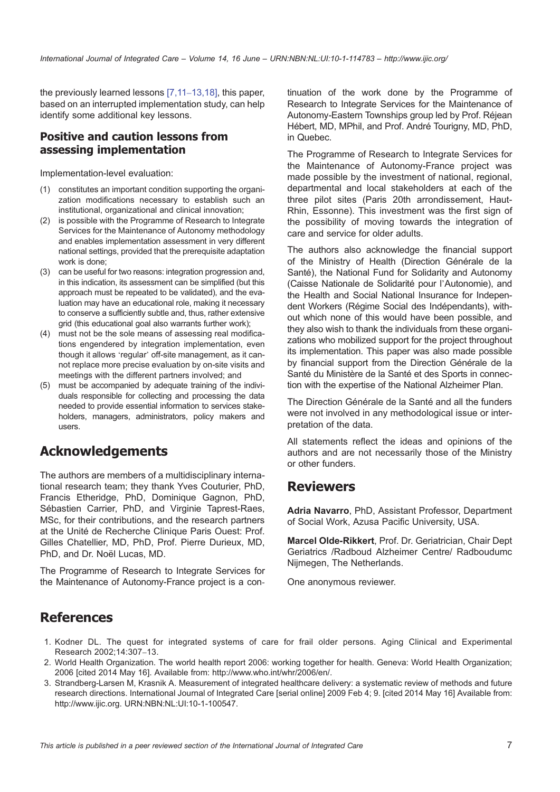<span id="page-6-0"></span>the previously learned lessons [7,11–13,18], this paper, based on an interrupted implementation study, can help identify some additional key lessons.

#### Positive and caution l[essons fro](#page-7-0)m assessing implementation

Implementation-level evaluation:

- (1) constitutes an important condition supporting the organization modifications necessary to establish such an institutional, organizational and clinical innovation;
- (2) is possible with the Programme of Research to Integrate Services for the Maintenance of Autonomy methodology and enables implementation assessment in very different national settings, provided that the prerequisite adaptation work is done;
- (3) can be useful for two reasons: integration progression and, in this indication, its assessment can be simplified (but this approach must be repeated to be validated), and the evaluation may have an educational role, making it necessary to conserve a sufficiently subtle and, thus, rather extensive grid (this educational goal also warrants further work);
- (4) must not be the sole means of assessing real modifications engendered by integration implementation, even though it allows 'regular' off-site management, as it cannot replace more precise evaluation by on-site visits and meetings with the different partners involved; and
- (5) must be accompanied by adequate training of the individuals responsible for collecting and processing the data needed to provide essential information to services stakeholders, managers, administrators, policy makers and users.

# Acknowledgements

The authors are members of a multidisciplinary international research team; they thank Yves Couturier, PhD, Francis Etheridge, PhD, Dominique Gagnon, PhD, Sébastien Carrier, PhD, and Virginie Taprest-Raes, MSc, for their contributions, and the research partners at the Unité de Recherche Clinique Paris Ouest: Prof. Gilles Chatellier, MD, PhD, Prof. Pierre Durieux, MD, PhD, and Dr. Noël Lucas, MD.

The Programme of Research to Integrate Services for the Maintenance of Autonomy-France project is a con‐ tinuation of the work done by the Programme of Research to Integrate [Services for the](http://www.ijic.org/) Maintenance of Autonomy-Eastern Townships group led by Prof. Réjean Hébert, MD, MPhil, and Prof. André Tourigny, MD, PhD, in Quebec.

The Programme of Research to Integrate Services for the Maintenance of Autonomy-France project was made possible by the investment of national, regional, departmental and local stakeholders at each of the three pilot sites (Paris 20th arrondissement, Haut-Rhin, Essonne). This investment was the first sign of the possibility of moving towards the integration of care and service for older adults.

The authors also acknowledge the financial support of the Ministry of Health (Direction Générale de la Santé), the National Fund for Solidarity and Autonomy (Caisse Nationale de Solidarité pour l'Autonomie), and the Health and Social National Insurance for Independent Workers (Régime Social des Indépendants), without which none of this would have been possible, and they also wish to thank the individuals from these organizations who mobilized support for the project throughout its implementation. This paper was also made possible by financial support from the Direction Générale de la Santé du Ministère de la Santé et des Sports in connection with the expertise of the National Alzheimer Plan.

The Direction Générale de la Santé and all the funders were not involved in any methodological issue or interpretation of the data.

All statements reflect the ideas and opinions of the authors and are not necessarily those of the Ministry or other funders.

## Reviewers

Adria Navarro, PhD, Assistant Professor, Department of Social Work, Azusa Pacific University, USA.

Marcel Olde-Rikkert, Prof. Dr. Geriatrician, Chair Dept Geriatrics /Radboud Alzheimer Centre/ Radboudumc Nijmegen, The Netherlands.

One anonymous reviewer.

# References

- 1. Kodner DL. The quest for integrated systems of care for frail older persons. Aging Clinical and Experimental Research 2002;14:307–13.
- 2. World Health Organization. The world health report 2006: working together for health. Geneva: World Health Organization; 2006 [cited 2014 May 16]. Available from: http://www.who.int/whr/2006/en/.
- 3. Strandberg-Larsen M, Krasnik A. Measurement of integrated healthcare delivery: a systematic review of methods and future research directions. International Journal of Integrated Care [serial online] 2009 Feb 4; 9. [cited 2014 May 16] Available from: http://www.ijic.org. URN:NBN:NL:UI:10-1-100547.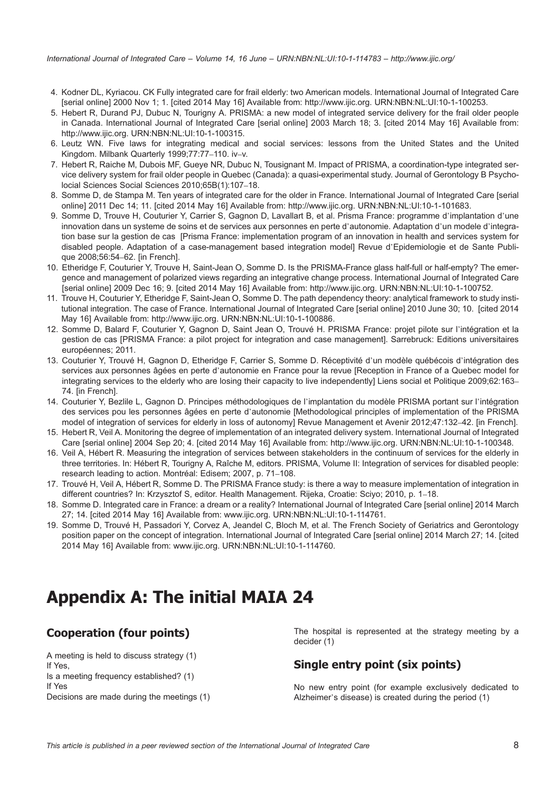- <span id="page-7-0"></span>4. Kodner DL, Kyriacou. CK Fully integrated care for frail elderly: two American models. International Journal of Integrated Care [serial online] 2000 Nov 1; 1. [cited 2014 May 16] Available from: http://www.ijic.org. UR[N:NBN:NL:UI:10-1](http://www.ijic.org/)-100253.
- 5. Hebert R, Durand PJ, Dubuc N, Tourigny A. PRISMA: a new model of integrated service delivery for the frail older people in Canada. International Journal of Integrated Care [serial online] 2003 March 18; 3. [cited 2014 May 16] Available from: http://www.ijic.org. URN:NBN:NL:UI:10-1-100315.
- 6. Leutz WN. Five laws for integrating medical and social ser[vices: lessons fro](http://www.ijic.org)[m the United States and the](http://persistent-identifier.nl/?identifier=URN:NBN:NL:UI:10-1-100253) United Kingdom. Milbank Quarterly 1999;77:77–110. iv–v.
- 7. Hebert R, Raiche M, Dubois MF, Gueye NR, Dubuc N, Tousignant M. Impact of PRISMA, a coordination-type integrated service delivery system for frail older people in Quebec (Canada): a quasi-experimental study. Journal of Gerontology B Psycho[locial](http://www.ijic.org) [Sciences](http://www.ijic.org) [So](http://www.ijic.org)[cial](http://persistent-identifier.nl/?identifier=URN:NBN:NL:UI:10-1-100315) [Sciences](http://persistent-identifier.nl/?identifier=URN:NBN:NL:UI:10-1-100315) [2010;65B\(1\):107](http://persistent-identifier.nl/?identifier=URN:NBN:NL:UI:10-1-100315)–18.
- 8. Somme D, de Stampa M. Ten years of integrated care for the older in France. International Journal of Integrated Care [serial online] 2011 Dec 14; 11. [cited 2014 May 16] Available from: http://www.ijic.org. URN:NBN:NL:UI:10-1-101683.
- 9. Somme D, Trouve H, Couturier Y, Carrier S, Gagnon D, Lavallart B, et al. Prisma France: programme d'implantation d'une innovation dans un systeme de soins et de services aux personnes en perte d'autonomie. Adaptation d'un modele d'integration base sur la gestion de cas [Prisma France: implementation program of an innovation in health and services system for disabled people. Adaptation of a case-management based [integration model\]](http://www.ijic.org) Revue d'[Epidemiologie et de](http://persistent-identifier.nl/?identifier=URN:NBN:NL:UI:10-1-101683) Sante Publique 2008;56:54–62. [in French].
- 10. Etheridge F, Couturier Y, Trouve H, Saint-Jean O, Somme D. Is the PRISMA-France glass half-full or half-empty? The emergence and management of polarized views regarding an integrative change process. International Journal of Integrated Care [serial online] 2009 Dec 16; 9. [cited 2014 May 16] Available from: http://www.ijic.org. URN:NBN:NL:UI:10-1-100752.
- 11. Trouve H, Couturier Y, Etheridge F, Saint-Jean O, Somme D. The path dependency theory: analytical framework to study institutional integration. The case of France. International Journal of Integrated Care [serial online] 2010 June 30; 10. [cited 2014 May 16] Available from: http://www.ijic.org. URN:NBN:NL:UI:10-1-100886.
- 12. Somme D, Balard F, Couturier Y, Gagnon D, Saint Jean O, Trouvé H. PRISMA France: projet pilote sur l'intégration et la gestion de cas [PRISMA France: a pilot project for integration an[d](http://www.ijic.org) [case](http://www.ijic.org) [manageme](http://www.ijic.org)[nt\].](http://persistent-identifier.nl/?identifier=URN:NBN:NL:UI:10-1-100752) [Sarrebruck:](http://persistent-identifier.nl/?identifier=URN:NBN:NL:UI:10-1-100752) [Editions](http://persistent-identifier.nl/?identifier=URN:NBN:NL:UI:10-1-100752) [univer](http://persistent-identifier.nl/?identifier=URN:NBN:NL:UI:10-1-100752)sitaires européennes; 2011.
- 13. Couturier Y, Trouvé H, Gagnon D, Etheridge F, Carrier S, Somme D. Réceptivité d'un modèle québécois d'intégration des services aux personnes [âgées](http://www.ijic.org) [en](http://www.ijic.org) [perte](http://www.ijic.org) [d](http://www.ijic.org)'[autonomie](http://persistent-identifier.nl/?identifier=URN:NBN:NL:UI:10-1-100886) [en](http://persistent-identifier.nl/?identifier=URN:NBN:NL:UI:10-1-100886) [France](http://persistent-identifier.nl/?identifier=URN:NBN:NL:UI:10-1-100886) [pour](http://persistent-identifier.nl/?identifier=URN:NBN:NL:UI:10-1-100886) [la](http://persistent-identifier.nl/?identifier=URN:NBN:NL:UI:10-1-100886) [r](http://persistent-identifier.nl/?identifier=URN:NBN:NL:UI:10-1-100886)evue [Reception in France of a Quebec model for integrating services to the elderly who are losing their capacity to live independently] Liens social et Politique 2009;62:163– 74. [in French].
- 14. Couturier Y, Bezlile L, Gagnon D. Principes méthodologiques de l'implantation du modèle PRISMA portant sur l'intégration des services pou les personnes âgées en perte d'autonomie [Methodological principles of implementation of the PRISMA model of integration of services for elderly in loss of autonomy] Revue Management et Avenir 2012;47:132-42. [in French].
- 15. Hebert R, Veil A. Monitoring the degree of implementation of an integrated delivery system. International Journal of Integrated Care [serial online] 2004 Sep 20; 4. [cited 2014 May 16] Available from: http://www.ijic.org. URN:NBN:NL:UI:10-1-100348.
- 16. Veil A, Hébert R. Measuring the integration of services between stakeholders in the continuum of services for the elderly in three territories. In: Hébert R, Tourigny A, Raîche M, editors. PRISMA, Volume II: Integration of services for disabled people: research leading to action. Montréal: Edisem; 2007, p. 71–108.
- 17. Trouvé H, Veil A, Hébert R, Somme D. The PRISMA France study: is there a way to measur[e implementation of integration](http://persistent-identifier.nl/?identifier=URN:NBN:NL:UI:10-1-100348) in different countries? In: Krzysztof S, editor. Health Management. Rijeka, [Croatie:](http://www.ijic.org) [Sciyo;](http://www.ijic.org) [201](http://www.ijic.org)0, p. 1–18.
- 18. Somme D. Integrated care in France: a dream or a reality? International Journal of Integrated Care [serial online] 2014 March 27; 14. [cited 2014 May 16] Available from: www.ijic.org. URN:NBN:NL:UI:10-1-114761.
- 19. Somme D, Trouvé H, Passadori Y, Corvez A, Jeandel C, Bloch M, et al. The French Society of Geriatrics and Gerontology position paper on the concept of integration. International Journal of Integrated Care [serial online] 2014 March 27; 14. [cited 2014 May 16] Available from: www.ijic.org. URN:NBN:NL:UI:10-1-114760.

# Appendix A: T[he](http://www.ijic.org) [initi](http://www.ijic.org)[al](http://persistent-identifier.nl/?identifier=URN:NBN:NL:UI:10-1-114760) [MAIA](http://persistent-identifier.nl/?identifier=URN:NBN:NL:UI:10-1-114760) [24](http://persistent-identifier.nl/?identifier=URN:NBN:NL:UI:10-1-114760)

# Cooperation (four points)

A meeting is held to discuss strategy (1) If Yes, Is a meeting frequency established? (1) If Yes Decisions are made during the meetings (1) The hospital is represented at the strategy meeting by a decider (1)

## Single entry point (six points)

No new entry point (for example exclusively dedicated to Alzheimer's disease) is created during the period (1)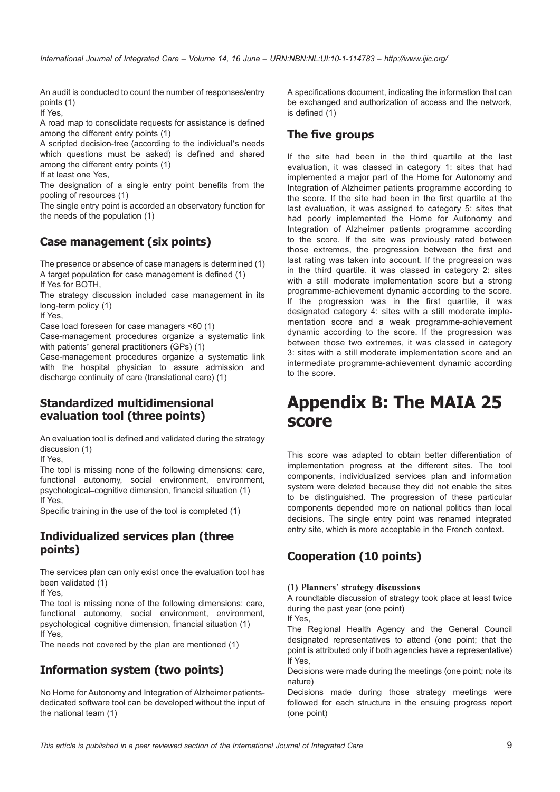<span id="page-8-0"></span>An audit is conducted to count the number of responses/entry points (1)

If Yes,

A road map to consolidate requests for assistance is defined among the different entry points (1)

A scripted decision-tree (according to the individual's needs which questions must be asked) is defined and shared among the different entry points (1)

If at least one Yes,

The designation of a single entry point benefits from the pooling of resources (1)

The single entry point is accorded an observatory function for the needs of the population (1)

### Case management (six points)

The presence or absence of case managers is determined (1) A target population for case management is defined (1) If Yes for BOTH,

The strategy discussion included case management in its long-term policy (1)

If Yes,

Case load foreseen for case managers <60 (1)

Case-management procedures organize a systematic link with patients' general practitioners (GPs) (1)

Case-management procedures organize a systematic link with the hospital physician to assure admission and discharge continuity of care (translational care) (1)

#### Standardized multidimensional evaluation tool (three points)

An evaluation tool is defined and validated during the strategy discussion (1)

If Yes,

The tool is missing none of the following dimensions: care, functional autonomy, social environment, environment, psychological–cognitive dimension, financial situation (1) If Yes,

Specific training in the use of the tool is completed (1)

#### Individualized services plan (three points)

The services plan can only exist once the evaluation tool has been validated (1)

If Yes,

The tool is missing none of the following dimensions: care, functional autonomy, social environment, environment, psychological–cognitive dimension, financial situation (1) If Yes,

The needs not covered by the plan are mentioned (1)

# Information system (two points)

No Home for Autonomy and Integration of Alzheimer patientsdedicated software tool can be developed without the input of the national team (1)

A specifications document, indicating the information that can be exchanged and autho[rization of access](http://www.ijic.org/) and the network, is defined (1)

## The five groups

If the site had been in the third quartile at the last evaluation, it was classed in category 1: sites that had implemented a major part of the Home for Autonomy and Integration of Alzheimer patients programme according to the score. If the site had been in the first quartile at the last evaluation, it was assigned to category 5: sites that had poorly implemented the Home for Autonomy and Integration of Alzheimer patients programme according to the score. If the site was previously rated between those extremes, the progression between the first and last rating was taken into account. If the progression was in the third quartile, it was classed in category 2: sites with a still moderate implementation score but a strong programme-achievement dynamic according to the score. If the progression was in the first quartile, it was designated category 4: sites with a still moderate imple‐ mentation score and a weak programme-achievement dynamic according to the score. If the progression was between those two extremes, it was classed in category 3: sites with a still moderate implementation score and an intermediate programme-achievement dynamic according to the score.

# Appendix B: The MAIA 25 score

This score was adapted to obtain better differentiation of implementation progress at the different sites. The tool components, individualized services plan and information system were deleted because they did not enable the sites to be distinguished. The progression of these particular components depended more on national politics than local decisions. The single entry point was renamed integrated entry site, which is more acceptable in the French context.

# Cooperation (10 points)

#### (1) Planners' strategy discussions

A roundtable discussion of strategy took place at least twice during the past year (one point)

If Yes,

The Regional Health Agency and the General Council designated representatives to attend (one point; that the point is attributed only if both agencies have a representative) If Yes,

Decisions were made during the meetings (one point; note its nature)

Decisions made during those strategy meetings were followed for each structure in the ensuing progress report (one point)